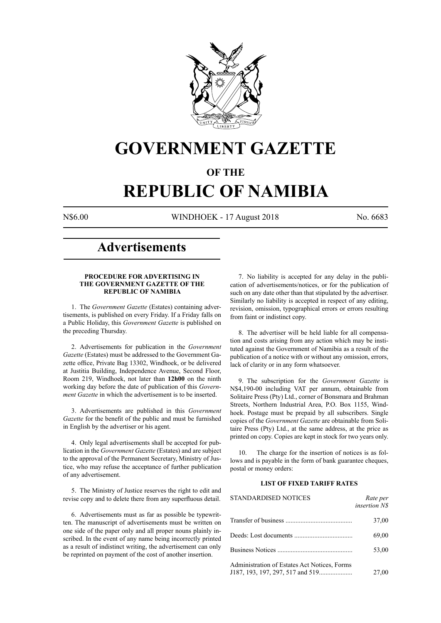

# **GOVERNMENT GAZETTE**

## **OF THE**

# **REPUBLIC OF NAMIBIA**

N\$6.00 WINDHOEK - 17 August 2018 No. 6683

# **Advertisements**

#### **PROCEDURE FOR ADVERTISING IN THE GOVERNMENT GAZETTE OF THE REPUBLIC OF NAMIBIA**

1. The *Government Gazette* (Estates) containing advertisements, is published on every Friday. If a Friday falls on a Public Holiday, this *Government Gazette* is published on the preceding Thursday.

2. Advertisements for publication in the *Government Gazette* (Estates) must be addressed to the Government Gazette office, Private Bag 13302, Windhoek, or be delivered at Justitia Building, Independence Avenue, Second Floor, Room 219, Windhoek, not later than **12h00** on the ninth working day before the date of publication of this *Government Gazette* in which the advertisement is to be inserted.

3. Advertisements are published in this *Government Gazette* for the benefit of the public and must be furnished in English by the advertiser or his agent.

4. Only legal advertisements shall be accepted for publication in the *Government Gazette* (Estates) and are subject to the approval of the Permanent Secretary, Ministry of Justice, who may refuse the acceptance of further publication of any advertisement.

5. The Ministry of Justice reserves the right to edit and revise copy and to delete there from any superfluous detail.

6. Advertisements must as far as possible be typewritten. The manuscript of advertisements must be written on one side of the paper only and all proper nouns plainly inscribed. In the event of any name being incorrectly printed as a result of indistinct writing, the advertisement can only be reprinted on payment of the cost of another insertion.

7. No liability is accepted for any delay in the publication of advertisements/notices, or for the publication of such on any date other than that stipulated by the advertiser. Similarly no liability is accepted in respect of any editing, revision, omission, typographical errors or errors resulting from faint or indistinct copy.

8. The advertiser will be held liable for all compensation and costs arising from any action which may be instituted against the Government of Namibia as a result of the publication of a notice with or without any omission, errors, lack of clarity or in any form whatsoever.

9. The subscription for the *Government Gazette* is N\$4,190-00 including VAT per annum, obtainable from Solitaire Press (Pty) Ltd., corner of Bonsmara and Brahman Streets, Northern Industrial Area, P.O. Box 1155, Windhoek. Postage must be prepaid by all subscribers. Single copies of the *Government Gazette* are obtainable from Solitaire Press (Pty) Ltd., at the same address, at the price as printed on copy. Copies are kept in stock for two years only.

10. The charge for the insertion of notices is as follows and is payable in the form of bank guarantee cheques, postal or money orders:

#### **LIST OF FIXED TARIFF RATES**

| <b>STANDARDISED NOTICES</b>                  | Rate per<br><i>insertion NS</i> |
|----------------------------------------------|---------------------------------|
|                                              | 37,00                           |
|                                              | 69,00                           |
|                                              | 53,00                           |
| Administration of Estates Act Notices, Forms | 27,00                           |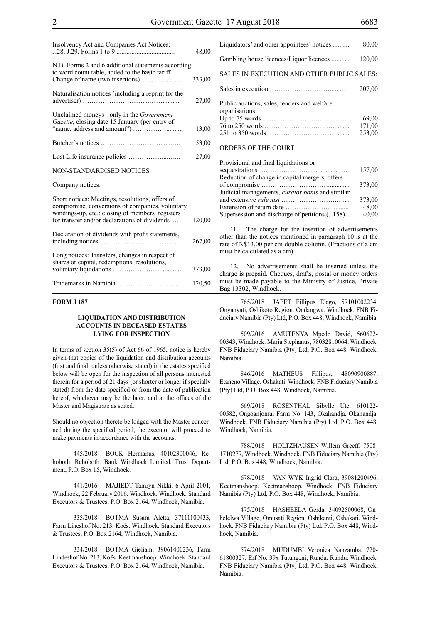| Insolvency Act and Companies Act Notices:                                                                                                                                                               | 48,00  |
|---------------------------------------------------------------------------------------------------------------------------------------------------------------------------------------------------------|--------|
| N.B. Forms 2 and 6 additional statements according<br>to word count table, added to the basic tariff.                                                                                                   | 333,00 |
| Naturalisation notices (including a reprint for the                                                                                                                                                     | 27,00  |
| Unclaimed moneys - only in the Government<br>Gazette, closing date 15 January (per entry of                                                                                                             | 13,00  |
|                                                                                                                                                                                                         | 53,00  |
|                                                                                                                                                                                                         | 27,00  |
| <b>NON-STANDARDISED NOTICES</b>                                                                                                                                                                         |        |
| Company notices:                                                                                                                                                                                        |        |
| Short notices: Meetings, resolutions, offers of<br>compromise, conversions of companies, voluntary<br>windings-up, etc.: closing of members' registers<br>for transfer and/or declarations of dividends | 120,00 |
| Declaration of dividends with profit statements,                                                                                                                                                        | 267,00 |
| Long notices: Transfers, changes in respect of<br>shares or capital, redemptions, resolutions,                                                                                                          | 373,00 |
|                                                                                                                                                                                                         | 120,50 |

#### **FORM J 187**

#### **LIQUIDATION AND DISTRIBUTION ACCOUNTS IN DECEASED ESTATES LYING FOR INSPECTION**

In terms of section 35(5) of Act 66 of 1965, notice is hereby given that copies of the liquidation and distribution accounts (first and final, unless otherwise stated) in the estates specified below will be open for the inspection of all persons interested therein for a period of 21 days (or shorter or longer if specially stated) from the date specified or from the date of publication hereof, whichever may be the later, and at the offices of the Master and Magistrate as stated.

Should no objection thereto be lodged with the Master concerned during the specified period, the executor will proceed to make payments in accordance with the accounts.

445/2018 BOCK Hermanus, 40102300046, Rehoboth. Rehoboth. Bank Windhoek Limited, Trust Department, P.O. Box 15, Windhoek.

441/2016 MAJIEDT Tamryn Nikki, 6 April 2001, Windhoek, 22 February 2016. Windhoek. Windhoek. Standard Executors & Trustees, P.O. Box 2164, Windhoek, Namibia.

335/2018 BOTMA Susara Aletta, 37111100433, Farm Lineshof No. 213, Koës. Windhoek. Standard Executors & Trustees, P.O. Box 2164, Windhoek, Namibia.

334/2018 BOTMA Gieliam, 39061400236, Farm Lindeshof No. 213, Koës. Keetmanshoop. Windhoek. Standard Executors & Trustees, P.O. Box 2164, Windhoek, Namibia.

| Liquidators' and other appointees' notices                    | 80,00  |
|---------------------------------------------------------------|--------|
| Gambling house licences/Liquor licences                       | 120,00 |
| SALES IN EXECUTION AND OTHER PUBLIC SALES:                    |        |
|                                                               | 207.00 |
| Public auctions, sales, tenders and welfare<br>organisations: | 69,00  |
|                                                               | 171,00 |
| ORDERS OF THE COURT                                           | 253,00 |

| Provisional and final liquidations or                  |        |
|--------------------------------------------------------|--------|
|                                                        | 157,00 |
| Reduction of change in capital mergers, offers         |        |
|                                                        | 373,00 |
| Judicial managements, <i>curator bonis</i> and similar |        |
|                                                        | 373,00 |
|                                                        | 48,00  |
| Supersession and discharge of petitions (J.158)        | 40,00  |
|                                                        |        |

11. The charge for the insertion of advertisements other than the notices mentioned in paragraph 10 is at the rate of N\$13,00 per cm double column. (Fractions of a cm must be calculated as a cm).

12. No advertisements shall be inserted unless the charge is prepaid. Cheques, drafts, postal or money orders must be made payable to the Ministry of Justice, Private Bag 13302, Windhoek.

765/2018 JAFET Fillipus Elago, 57101002234, Onyanyati, Oshikoto Region. Ondangwa. Windhoek. FNB Fiduciary Namibia (Pty) Ltd, P.O. Box 448, Windhoek, Namibia.

509/2016 AMUTENYA Mpedo David, 560622- 00343, Windhoek. Maria Stephanus, 78032810064. Windhoek. FNB Fiduciary Namibia (Pty) Ltd, P.O. Box 448, Windhoek, Namibia.

846/2016 MATHEUS Fillipus, 48090900887, Etaneno Village. Oshakati. Windhoek. FNB Fiduciary Namibia (Pty) Ltd, P.O. Box 448, Windhoek, Namibia.

669/2018 ROSENTHAL Sibylle Ute, 610122- 00582, Ongoanjomui Farm No. 143, Okahandja. Okahandja. Windhoek. FNB Fiduciary Namibia (Pty) Ltd, P.O. Box 448, Windhoek, Namibia.

788/2018 HOLTZHAUSEN Willem Greeff, 7508- 1710277, Windhoek. Windhoek. FNB Fiduciary Namibia (Pty) Ltd, P.O. Box 448, Windhoek, Namibia.

678/2018 VAN WYK Ingrid Clara, 39081200496, Keetmanshoop. Keetmanshoop. Windhoek. FNB Fiduciary Namibia (Pty) Ltd, P.O. Box 448, Windhoek, Namibia.

475/2018 HASHEELA Gerda, 34092500068, Onhelelwa Village, Omusati Region, Oshikanti, Oshakati. Windhoek. FNB Fiduciary Namibia (Pty) Ltd, P.O. Box 448, Windhoek, Namibia.

574/2018 MUDUMBI Veronica Nanzamba, 720- 61800327, Erf No. 39x Tutungeni, Rundu. Rundu. Windhoek. FNB Fiduciary Namibia (Pty) Ltd, P.O. Box 448, Windhoek, Namibia.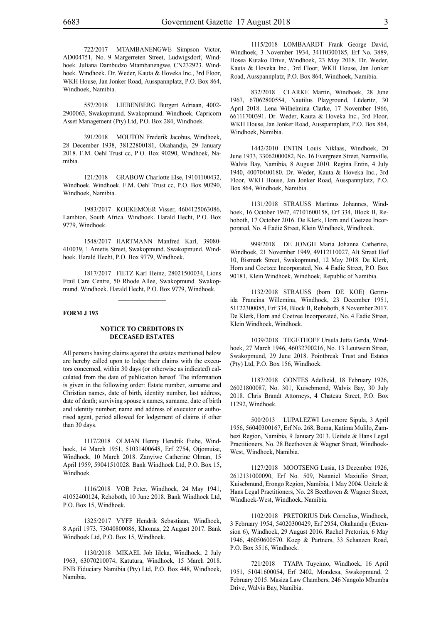722/2017 MTAMBANENGWE Simpson Victor, AD004751, No. 9 Margerreten Street, Ludwigsdorf, Windhoek. Juliana Dambudzo Mtambanengwe, CN232923. Windhoek. Windhoek. Dr. Weder, Kauta & Hoveka Inc., 3rd Floor, WKH House, Jan Jonker Road, Ausspannplatz, P.O. Box 864, Windhoek, Namibia.

557/2018 LIEBENBERG Burgert Adriaan, 4002- 2900063, Swakopmund. Swakopmund. Windhoek. Capricorn Asset Management (Pty) Ltd, P.O. Box 284, Windhoek.

391/2018 MOUTON Frederik Jacobus, Windhoek, 28 December 1938, 38122800181, Okahandja, 29 January 2018. F.M. Oehl Trust cc, P.O. Box 90290, Windhoek, Namibia.

121/2018 GRABOW Charlotte Else, 19101100432, Windhoek. Windhoek. F.M. Oehl Trust cc, P.O. Box 90290, Windhoek, Namibia.

1983/2017 KOEKEMOER Visser, 4604125063086, Lambton, South Africa. Windhoek. Harald Hecht, P.O. Box 9779, Windhoek.

1548/2017 HARTMANN Manfred Karl, 39080- 410039, 1 Ametis Street, Swakopmund. Swakopmund. Windhoek. Harald Hecht, P.O. Box 9779, Windhoek.

1817/2017 FIETZ Karl Heinz, 28021500034, Lions Frail Care Centre, 50 Rhode Allee, Swakopmund. Swakopmund. Windhoek. Harald Hecht, P.O. Box 9779, Windhoek.

#### **FORM J 193**

#### **NOTICE TO CREDITORS IN DECEASED ESTATES**

All persons having claims against the estates mentioned below are hereby called upon to lodge their claims with the executors concerned, within 30 days (or otherwise as indicated) calculated from the date of publication hereof. The information is given in the following order: Estate number, surname and Christian names, date of birth, identity number, last address, date of death; surviving spouse's names, surname, date of birth and identity number; name and address of executor or authorised agent, period allowed for lodgement of claims if other than 30 days.

1117/2018 OLMAN Henny Hendrik Fiebe, Windhoek, 14 March 1951, 51031400648, Erf 2754, Otjomuise, Windhoek, 10 March 2018. Zanyiwe Catherine Olman, 15 April 1959, 59041510028. Bank Windhoek Ltd, P.O. Box 15, Windhoek.

1116/2018 VOB Peter, Windhoek, 24 May 1941, 41052400124, Rehoboth, 10 June 2018. Bank Windhoek Ltd, P.O. Box 15, Windhoek.

1325/2017 VYFF Hendrik Sebastiaan, Windhoek, 8 April 1973, 73040800086, Khomas, 22 August 2017. Bank Windhoek Ltd, P.O. Box 15, Windhoek.

1130/2018 MIKAEL Job Iileka, Windhoek, 2 July 1963, 63070210074, Katutura, Windhoek, 15 March 2018. FNB Fiduciary Namibia (Pty) Ltd, P.O. Box 448, Windhoek, Namibia.

1115/2018 LOMBAARDT Frank George David, Windhoek, 3 November 1934, 34110300185, Erf No. 3889, Hosea Kutako Drive, Windhoek, 23 May 2018. Dr. Weder, Kauta & Hoveka Inc., 3rd Floor, WKH House, Jan Jonker Road, Ausspannplatz, P.O. Box 864, Windhoek, Namibia.

832/2018 CLARKE Martin, Windhoek, 28 June 1967, 67062800554, Nautilus Playground, Lüderitz, 30 April 2018. Lena Wilhelmina Clarke, 17 November 1966, 66111700391. Dr. Weder, Kauta & Hoveka Inc., 3rd Floor, WKH House, Jan Jonker Road, Ausspannplatz, P.O. Box 864, Windhoek, Namibia.

1442/2010 ENTIN Louis Niklaas, Windhoek, 20 June 1933, 33062000082, No. 16 Evergreen Street, Narraville, Walvis Bay, Namibia, 8 August 2010. Regina Entin, 4 July 1940, 40070400180. Dr. Weder, Kauta & Hoveka Inc., 3rd Floor, WKH House, Jan Jonker Road, Ausspannplatz, P.O. Box 864, Windhoek, Namibia.

1131/2018 STRAUSS Martinus Johannes, Windhoek, 16 October 1947, 47101600158, Erf 334, Block B, Rehoboth, 17 October 2016. De Klerk, Horn and Coetzee Incorporated, No. 4 Eadie Street, Klein Windhoek, Windhoek.

999/2018 DE JONGH Maria Johanna Catherina, Windhoek, 21 November 1949, 49112110027, Alt Straat Hof 10, Bismark Street, Swakopmund, 12 May 2018. De Klerk, Horn and Coetzee Incorporated, No. 4 Eadie Street, P.O. Box 90181, Klein Windhoek, Windhoek, Republic of Namibia.

1132/2018 STRAUSS (born DE KOE) Gertruida Francina Willemina, Windhoek, 23 December 1951, 51122300085, Erf 334, Block B, Rehoboth, 8 November 2017. De Klerk, Horn and Coetzee Incorporated, No. 4 Eadie Street, Klein Windhoek, Windhoek.

1039/2018 TEGETHOFF Ursula Jutta Gerda, Windhoek, 27 March 1946, 46032700216, No. 13 Leutwein Street, Swakopmund, 29 June 2018. Pointbreak Trust and Estates (Pty) Ltd, P.O. Box 156, Windhoek.

1187/2018 GONTES Adelheid, 18 February 1926, 26021800087, No. 301, Kuisebmond, Walvis Bay, 30 July 2018. Chris Brandt Attorneys, 4 Chateau Street, P.O. Box 11292, Windhoek.

500/2013 LUPALEZWI Lovemore Sipula, 3 April 1956, 56040300167, Erf No. 268, Boma, Katima Mulilo, Zambezi Region, Namibia, 9 January 2013. Ueitele & Hans Legal Practitioners, No. 28 Beethoven & Wagner Street, Windhoek-West, Windhoek, Namibia.

1127/2018 MOOTSENG Lusia, 13 December 1926, 2612131000090, Erf No. 509, Nataniel Maxiulio Street, Kuisebmund, Erongo Region, Namibia, 1 May 2004. Ueitele & Hans Legal Practitioners, No. 28 Beethoven & Wagner Street, Windhoek-West, Windhoek, Namibia.

1102/2018 PRETORIUS Dirk Cornelius, Windhoek, 3 February 1954, 54020300429, Erf 2954, Okahandja (Extension 6), Windhoek, 29 August 2016. Rachel Pretorius, 6 May 1946, 46050600570. Koep & Partners, 33 Schanzen Road, P.O. Box 3516, Windhoek.

721/2018 TYAPA Tuyeimo, Windhoek, 16 April 1951, 51041600054, Erf 2402, Mondesa, Swakopmund, 2 February 2015. Masiza Law Chambers, 246 Nangolo Mbumba Drive, Walvis Bay, Namibia.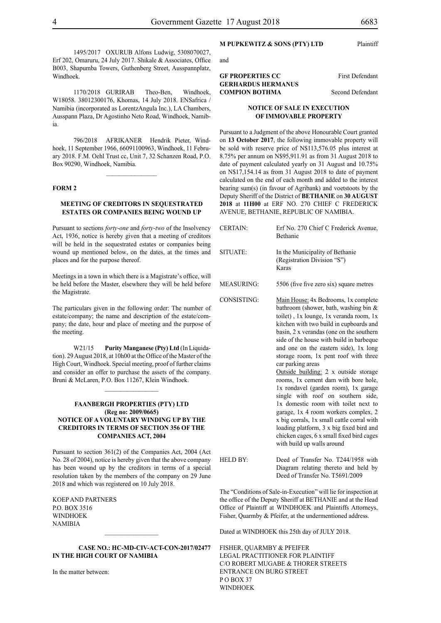1495/2017 OXURUB Alfons Ludwig, 5308070027, Erf 202, Omaruru, 24 July 2017. Shikale & Associates, Office B003, Shapumba Towers, Guthenberg Street, Ausspannplatz, Windhoek.

1170/2018 GURIRAB Theo-Ben, Windhoek, W18058. 38012300176, Khomas, 14 July 2018. ENSafrica / Namibia (incorporated as LorentzAngula Inc.), LA Chambers, Ausspann Plaza, Dr Agostinho Neto Road, Windhoek, Namibia.

796/2018 AFRIKANER Hendrik Pieter, Windhoek, 11 September 1966, 66091100963, Windhoek, 11 February 2018. F.M. Oehl Trust cc, Unit 7, 32 Schanzen Road, P.O. Box 90290, Windhoek, Namibia.

 $\frac{1}{2}$ 

#### **FORM 2**

#### **MEETING OF CREDITORS IN SEQUESTRATED ESTATES OR COMPANIES BEING WOUND UP**

Pursuant to sections *forty-one* and *forty-two* of the Insolvency Act, 1936, notice is hereby given that a meeting of creditors will be held in the sequestrated estates or companies being wound up mentioned below, on the dates, at the times and places and for the purpose thereof.

Meetings in a town in which there is a Magistrate's office, will be held before the Master, elsewhere they will be held before the Magistrate.

The particulars given in the following order: The number of estate/company; the name and description of the estate/company; the date, hour and place of meeting and the purpose of the meeting.

W21/15 **Purity Manganese (Pty) Ltd** (In Liquidation). 29 August 2018, at 10h00 at the Office of the Master of the High Court, Windhoek. Special meeting, proof of further claims and consider an offer to purchase the assets of the company. Bruni & McLaren, P.O. Box 11267, Klein Windhoek.

 $\frac{1}{2}$ 

#### **FAANBERGH PROPERTIES (PTY) LTD (Reg no: 2009/0665) NOTICE OF A VOLUNTARY WINDING UP BY THE CREDITORS IN TERMS OF SECTION 356 OF THE COMPANIES ACT, 2004**

Pursuant to section 361(2) of the Companies Act, 2004 (Act No. 28 of 2004), notice is hereby given that the above company has been wound up by the creditors in terms of a special resolution taken by the members of the company on 29 June 2018 and which was registered on 10 July 2018.

Koep and Partners P.O. Box 3516 **WINDHOEK NAMIBIA** 

#### **CASE NO.: HC-MD-CIV-ACT-CON-2017/02477 IN THE HIGH COURT OF NAMIBIA**

In the matter between:

### **M PUPKEWITZ & SONS (PTY) LTD** Plaintiff

and

#### **GF PROPERTIES CC** First Defendant **GERHARDUS HERMANUS COMPION BOTHMA** Second Defendant

#### **NOTICE OF SALE IN EXECUTION OF IMMOVABLE PROPERTY**

Pursuant to a Judgment of the above Honourable Court granted on **13 October 2017**, the following immovable property will be sold with reserve price of N\$113,576.05 plus interest at 8.75% per annum on N\$95,911.91 as from 31 August 2018 to date of payment calculated yearly on 31 August and 10.75% on N\$17,154.14 as from 31 August 2018 to date of payment calculated on the end of each month and added to the interest bearing sum(s) (in favour of Agribank) and voetstoots by the Deputy Sheriff of the District of **BETHANIE** on **30 AUGUST 2018** at **11H00** at ERF NO. 270 CHIEF C FREDERICK AVENUE, BETHANIE, REPUBLIC OF NAMIBIA.

| T | <b>CERTAIN:</b>    | Erf No. 270 Chief C Frederick Avenue,<br>Bethanie                                                                                                                                                                                                                                                                                                                                                                                                                                                                                                                                                                                                                                                                                                                                         |
|---|--------------------|-------------------------------------------------------------------------------------------------------------------------------------------------------------------------------------------------------------------------------------------------------------------------------------------------------------------------------------------------------------------------------------------------------------------------------------------------------------------------------------------------------------------------------------------------------------------------------------------------------------------------------------------------------------------------------------------------------------------------------------------------------------------------------------------|
|   | SITUATE:           | In the Municipality of Bethanie<br>(Registration Division "S")<br>Karas                                                                                                                                                                                                                                                                                                                                                                                                                                                                                                                                                                                                                                                                                                                   |
|   | <b>MEASURING:</b>  | 5506 (five five zero six) square metres                                                                                                                                                                                                                                                                                                                                                                                                                                                                                                                                                                                                                                                                                                                                                   |
|   | <b>CONSISTING:</b> | Main House: 4x Bedrooms, 1x complete<br>bathroom (shower, bath, washing bin $\&$<br>toilet), 1x lounge, 1x veranda room, 1x<br>kitchen with two build in cupboards and<br>basin, 2 x verandas (one on the southern<br>side of the house with build in barbeque<br>and one on the eastern side), 1x long<br>storage room, 1x pent roof with three<br>car parking areas<br>Outside building: 2 x outside storage<br>rooms, 1x cement dam with bore hole,<br>1x rondavel (garden room), 1x garage<br>single with roof on southern side,<br>1x domestic room with toilet next to<br>garage, 1x 4 room workers complex, 2<br>x big corrals, 1x small cattle corral with<br>loading platform, 3 x big fixed bird and<br>chicken cages, 6 x small fixed bird cages<br>with build up walls around |
|   | <b>HELD BY:</b>    | Deed of Transfer No. T244/1958 with<br>Diagram relating thereto and held by<br>Deed of Transfer No. T5691/2009                                                                                                                                                                                                                                                                                                                                                                                                                                                                                                                                                                                                                                                                            |

The "Conditions of Sale-in-Execution" will lie for inspection at the office of the Deputy Sheriff at BETHANIE and at the Head Office of Plaintiff at WINDHOEK and Plaintiffs Attorneys, Fisher, Quarmby & Pfeifer, at the undermentioned address.

Dated at WINDHOEK this 25th day of JULY 2018.

FISHER, QUARMBY & PFEIFER LEGAL PRACTITIONER FOR PLAINTIFF c/o Robert Mugabe & Thorer Streets entrance on Burg Street PO BOX 37 WINDHOEK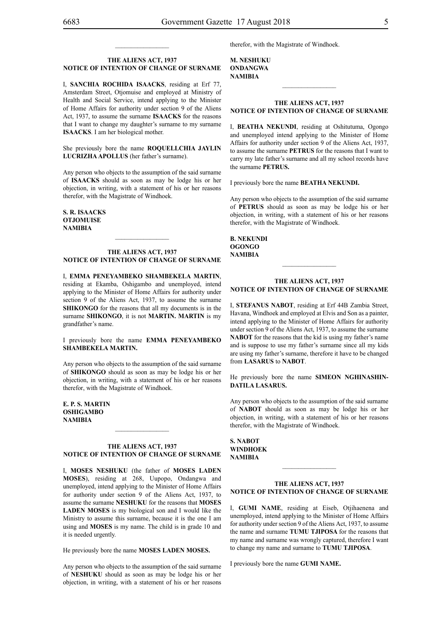### **THE ALIENS ACT, 1937**

 $\frac{1}{2}$ 

## **NOTICE OF INTENTION OF CHANGE OF SURNAME**

I, **Sanchia Rochida isaaCks**, residing at Erf 77, Amsterdam Street, Otjomuise and employed at Ministry of Health and Social Service, intend applying to the Minister of Home Affairs for authority under section 9 of the Aliens Act, 1937, to assume the surname **isaacks** for the reasons that I want to change my daughter's surname to my surname **ISAACKS**. I am her biological mother.

She previously bore the name **ROQUELLCHIA JAYLIN LucrizhA Apollus** (her father's surname).

Any person who objects to the assumption of the said surname of **isaacks** should as soon as may be lodge his or her objection, in writing, with a statement of his or her reasons therefor, with the Magistrate of Windhoek.

**S. R. isaaCks OTJOMUISE NAMIBIA**

#### **THE ALIENS ACT, 1937 NOTICE OF INTENTION OF CHANGE OF SURNAME**

I, **emma peneyambeko shambekela martin**, residing at Ekamba, Oshigambo and unemployed, intend applying to the Minister of Home Affairs for authority under section 9 of the Aliens Act, 1937, to assume the surname **SHIKONGO** for the reasons that all my documents is in the surname **SHIKONGO**, it is not **MARTIN. MARTIN** is my grandfather's name.

I previously bore the name **emma peneyambeko shambekela martin.**

Any person who objects to the assumption of the said surname of **SHIKONGO** should as soon as may be lodge his or her objection, in writing, with a statement of his or her reasons therefor, with the Magistrate of Windhoek.

**e. p. s. martin oshigambo NAMIBIA**

#### **THE ALIENS ACT, 1937 NOTICE OF INTENTION OF CHANGE OF SURNAME**

 $\frac{1}{2}$ 

I, **moses neshuku** (the father of **moses laden Moses**), residing at 268, Uupopo, Ondangwa and unemployed, intend applying to the Minister of Home Affairs for authority under section 9 of the Aliens Act, 1937, to assume the surname **neshuku** for the reasons that **MOSES LADEN MOSES** is my biological son and I would like the Ministry to assume this surname, because it is the one I am using and **MOSES** is my name. The child is in grade 10 and it is needed urgently.

He previously bore the name **MOSES LADEN MOSES.**

Any person who objects to the assumption of the said surname of **neshuku** should as soon as may be lodge his or her objection, in writing, with a statement of his or her reasons

therefor, with the Magistrate of Windhoek.

**m. neshuku ondangwa NAMIBIA**

#### **THE ALIENS ACT, 1937 NOTICE OF INTENTION OF CHANGE OF SURNAME**

 $\frac{1}{2}$ 

I, **beatha nekundi**, residing at Oshitutuma, Ogongo and unemployed intend applying to the Minister of Home Affairs for authority under section 9 of the Aliens Act, 1937, to assume the surname **PETRUS** for the reasons that I want to carry my late father's surname and all my school records have the surname **PETRUS.** 

I previously bore the name **beatha nekundi.**

Any person who objects to the assumption of the said surname of **petrus** should as soon as may be lodge his or her objection, in writing, with a statement of his or her reasons therefor, with the Magistrate of Windhoek.

**b. nekundi ogongo NAMIBIA**

#### **THE ALIENS ACT, 1937 NOTICE OF INTENTION OF CHANGE OF SURNAME**

I, **stefanus nabot**, residing at Erf 44B Zambia Street, Havana, Windhoek and employed at Elvis and Son as a painter, intend applying to the Minister of Home Affairs for authority under section 9 of the Aliens Act, 1937, to assume the surname **NABOT** for the reasons that the kid is using my father's name and is suppose to use my father's surname since all my kids are using my father's surname, therefore it have to be changed from **LASARUS** to **NABOT**.

#### He previously bore the name **SIMEON NGHINASHINdatiLa lasarus.**

Any person who objects to the assumption of the said surname of **nabot** should as soon as may be lodge his or her objection, in writing, with a statement of his or her reasons therefor, with the Magistrate of Windhoek.

**s. NABOT WINDHOEK NAMIBIA**

#### **THE ALIENS ACT, 1937 NOTICE OF INTENTION OF CHANGE OF SURNAME**

I, **gumi name**, residing at Eiseb, Otjihaenena and unemployed, intend applying to the Minister of Home Affairs for authority under section 9 of the Aliens Act, 1937, to assume the name and surname **TUMU TJIPOSA** for the reasons that my name and surname was wrongly captured, therefore I want to change my name and surname to **TUMU TJIPOSA**.

I previously bore the name **gumi name.**